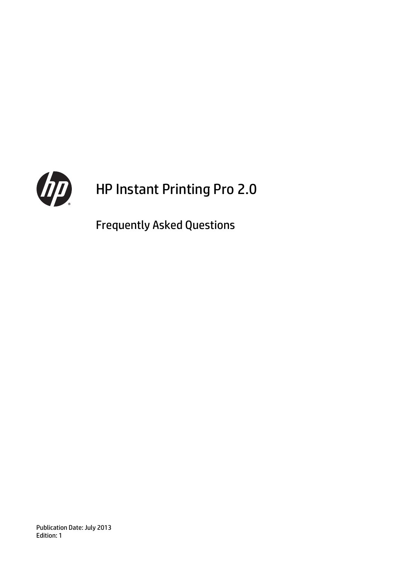

# HP Instant Printing Pro 2.0

Frequently Asked Questions

Publication Date: July 2013 Edition: 1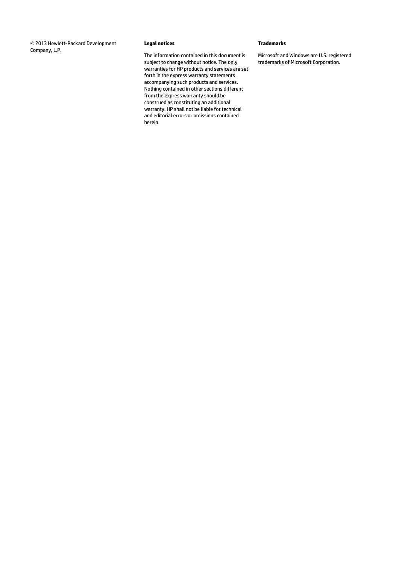© 2013 Hewlett-Packard Development Company, L.P.

#### **Legal notices**

The information contained in this document is subject to change without notice. The only warranties for HP products and services are set forth in the express warranty statements accompanying such products and services. Nothing contained in other sections different from the express warranty should be construed as constituting an additional warranty. HP shall not be liable for technical and editorial errors or omissions contained herein.

#### **Trademarks**

Microsoft and Windows are U.S. registered trademarks of Microsoft Corporation.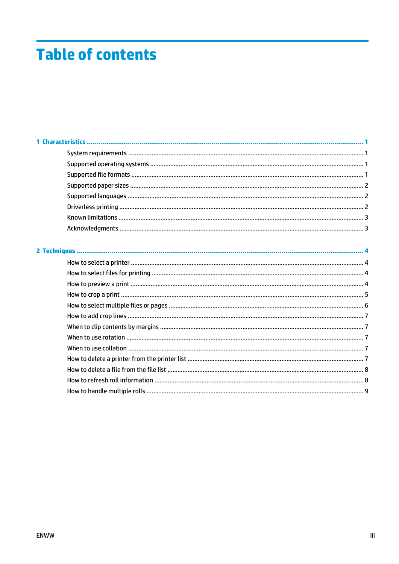# **Table of contents**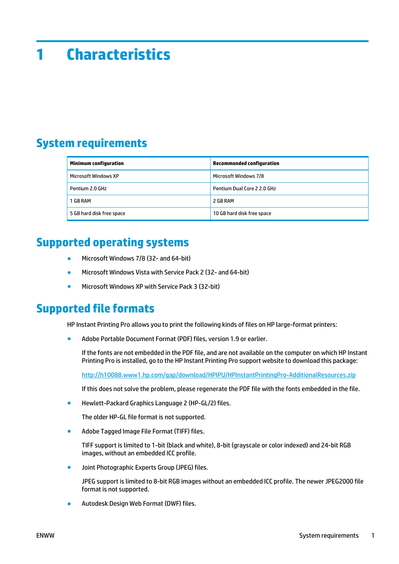# <span id="page-4-0"></span>**1 Characteristics**

## **System requirements**

| <b>Minimum configuration</b> | <b>Recommended configuration</b> |
|------------------------------|----------------------------------|
| Microsoft Windows XP         | Microsoft Windows 7/8            |
| Pentium 2.0 GHz              | Pentium Dual Core 2 2.0 GHz      |
| 1 GB RAM                     | 2 GB RAM                         |
| 5 GB hard disk free space    | 10 GB hard disk free space       |

#### **Supported operating systems**

- Microsoft Windows 7/8 (32- and 64-bit)
- Microsoft Windows Vista with Service Pack 2 (32- and 64-bit)
- Microsoft Windows XP with Service Pack 3 (32-bit)

#### **Supported file formats**

HP Instant Printing Pro allows you to print the following kinds of files on HP large-format printers:

Adobe Portable Document Format (PDF) files, version 1.9 or earlier.

If the fonts are not embedded in the PDF file, and are not available on the computer on which HP Instant Printing Pro is installed, go to the HP Instant Printing Pro support website to download this package:

<http://h10088.www1.hp.com/gap/download/HPIPU/HPInstantPrintingPro-AdditionalResources.zip>

If this does not solve the problem, please regenerate the PDF file with the fonts embedded in the file.

Hewlett-Packard Graphics Language 2 (HP-GL/2) files.

The older HP-GL file format is not supported.

Adobe Tagged Image File Format (TIFF) files.

TIFF support is limited to 1-bit (black and white), 8-bit (grayscale or color indexed) and 24-bit RGB images, without an embedded ICC profile.

Joint Photographic Experts Group (JPEG) files.

JPEG support is limited to 8-bit RGB images without an embedded ICC profile. The newer JPEG2000 file format is not supported.

Autodesk Design Web Format (DWF) files.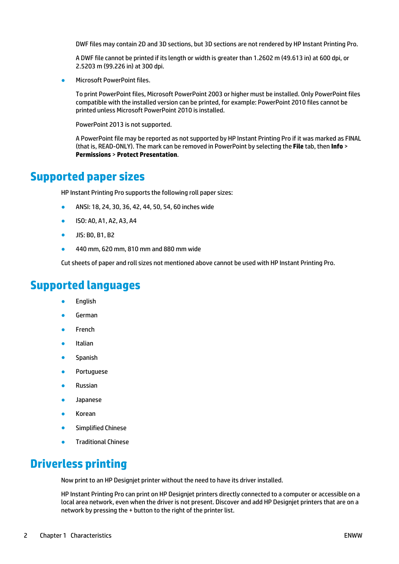<span id="page-5-0"></span>DWF files may contain 2D and 3D sections, but 3D sections are not rendered by HP Instant Printing Pro.

A DWF file cannot be printed if its length or width is greater than 1.2602 m (49.613 in) at 600 dpi, or 2.5203 m (99.226 in) at 300 dpi.

Microsoft PowerPoint files

To print PowerPoint files, Microsoft PowerPoint 2003 or higher must be installed. Only PowerPoint files compatible with the installed version can be printed, for example: PowerPoint 2010 files cannot be printed unless Microsoft PowerPoint 2010 is installed.

PowerPoint 2013 is not supported.

A PowerPoint file may be reported as not supported by HP Instant Printing Pro if it was marked as FINAL (that is, READ-ONLY). The mark can be removed in PowerPoint by selecting the **File** tab, then **Info** > **Permissions** > **Protect Presentation**.

#### **Supported paper sizes**

HP Instant Printing Pro supports the following roll paper sizes:

- ANSI: 18, 24, 30, 36, 42, 44, 50, 54, 60 inches wide
- ISO: A0, A1, A2, A3, A4
- JIS: B0, B1, B2
- 440 mm, 620 mm, 810 mm and 880 mm wide

Cut sheets of paper and roll sizes not mentioned above cannot be used with HP Instant Printing Pro.

#### **Supported languages**

- **English**
- **German**
- **French**
- **Italian**
- **Spanish**
- Portuguese
- **Russian**
- **Japanese**
- **Korean**
- **Simplified Chinese**
- Traditional Chinese

#### **Driverless printing**

Now print to an HP Designjet printer without the need to have its driver installed.

HP Instant Printing Pro can print on HP Designjet printers directly connected to a computer or accessible on a local area network, even when the driver is not present. Discover and add HP Designjet printers that are on a network by pressing the + button to the right of the printer list.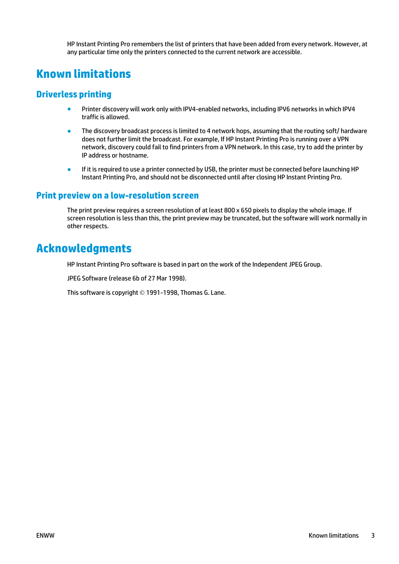HP Instant Printing Pro remembers the list of printers that have been added from every network. However, at any particular time only the printers connected to the current network are accessible.

#### <span id="page-6-0"></span>**Known limitations**

#### **Driverless printing**

- Printer discovery will work only with IPV4-enabled networks, including IPV6 networks in which IPV4 traffic is allowed.
- The discovery broadcast process is limited to 4 network hops, assuming that the routing soft/ hardware does not further limit the broadcast. For example, If HP Instant Printing Pro is running over a VPN network, discovery could fail to find printers from a VPN network. In this case, try to add the printer by IP address or hostname.
- If it is required to use a printer connected by USB, the printer must be connected before launching HP Instant Printing Pro, and should not be disconnected until after closing HP Instant Printing Pro.

#### **Print preview on a low-resolution screen**

The print preview requires a screen resolution of at least 800 x 650 pixels to display the whole image. If screen resolution is less than this, the print preview may be truncated, but the software will work normally in other respects.

#### **Acknowledgments**

HP Instant Printing Pro software is based in part on the work of the Independent JPEG Group.

JPEG Software (release 6b of 27 Mar 1998).

This software is copyright © 1991-1998, Thomas G. Lane.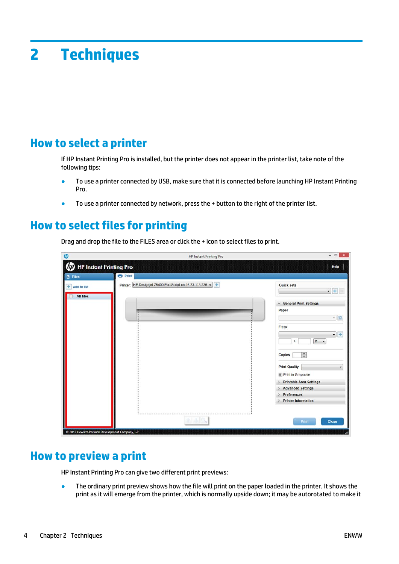# <span id="page-7-0"></span>**2 Techniques**

#### **How to select a printer**

If HP Instant Printing Pro is installed, but the printer does not appear in the printer list, take note of the following tips:

- To use a printer connected by USB, make sure that it is connected before launching HP Instant Printing Pro.
- To use a printer connected by network, press the + button to the right of the printer list.

#### **How to select files for printing**

Drag and drop the file to the FILES area or click the + icon to select files to print.

| $\varphi$                                      | <b>HP Instant Printing Pro</b>                               | $   \times$                                                      |
|------------------------------------------------|--------------------------------------------------------------|------------------------------------------------------------------|
| (D) HP Instant Printing Pro                    |                                                              | Help                                                             |
| <b>D</b> Files                                 | <b>Print</b>                                                 |                                                                  |
| + Add to list                                  | HP Designjet Z5400 PostScript on 16.23.113.236 -<br>Printer: | <b>Quick sets</b><br>$\bullet$ + -                               |
| <b>All files</b>                               |                                                              | <b>General Print Settings</b><br>v<br>Paper                      |
|                                                |                                                              | $\mathbf{r}$ ta                                                  |
|                                                |                                                              | Fit to<br>$\cdot$ +<br>$\ln$ $\sim$<br>x                         |
|                                                |                                                              | $\div$<br><b>Copies</b>                                          |
|                                                |                                                              | <b>Print Quality</b><br>$\pmb{\mathrm{v}}$<br>Print in Grayscale |
|                                                |                                                              | <b>Printable Area Settings</b><br><b>Advanced Settings</b>       |
|                                                |                                                              | <b>Preferences</b><br><b>Printer Information</b>                 |
|                                                |                                                              | Print<br>Close                                                   |
| @ 2013 Hewlett-Packard Development Company, LP |                                                              |                                                                  |

#### **How to preview a print**

HP Instant Printing Pro can give two different print previews:

**•** The ordinary print preview shows how the file will print on the paper loaded in the printer. It shows the print as it will emerge from the printer, which is normally upside down; it may be autorotated to make it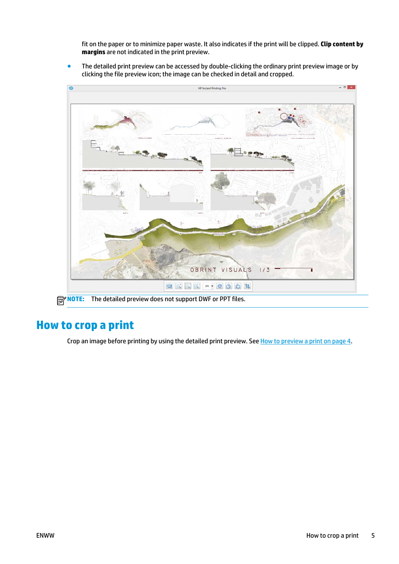<span id="page-8-0"></span>fit on the paper or to minimize paper waste. It also indicates if the print will be clipped. **Clip content by margins** are not indicated in the print preview.

The detailed print preview can be accessed by double-clicking the ordinary print preview image or by clicking the file preview icon; the image can be checked in detail and cropped.



## **How to crop a print**

Crop an image before printing by using the detailed print preview. See [How to preview a print on page 4.](#page-7-0)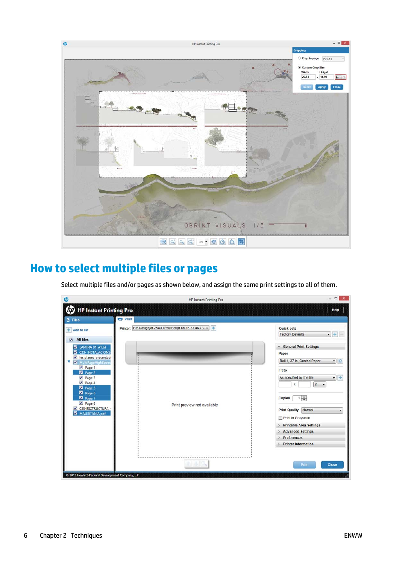<span id="page-9-0"></span>

## **How to select multiple files or pages**

Select multiple files and/or pages as shown below, and assign the same print settings to all of them.

| 60                                                                                                                                                                                                                                                                   | <b>HP Instant Printing Pro</b>                          | $\Box$ x<br>$\overline{\phantom{0}}$                                                                                                                                                                                                                                                                                                                                                |
|----------------------------------------------------------------------------------------------------------------------------------------------------------------------------------------------------------------------------------------------------------------------|---------------------------------------------------------|-------------------------------------------------------------------------------------------------------------------------------------------------------------------------------------------------------------------------------------------------------------------------------------------------------------------------------------------------------------------------------------|
| <b>HP Instant Printing Pro</b>                                                                                                                                                                                                                                       |                                                         | Help                                                                                                                                                                                                                                                                                                                                                                                |
| <b>D</b> Files                                                                                                                                                                                                                                                       | <b>Print</b>                                            |                                                                                                                                                                                                                                                                                                                                                                                     |
| + Add to list<br><b>All files</b><br>$\vee$                                                                                                                                                                                                                          | Printer: HP Designjet Z5400 PostScript on 16.23.86.73 - | <b>Quick sets</b><br>$\cdot$ +<br><b>Factory Defaults</b>                                                                                                                                                                                                                                                                                                                           |
| LAMINA 01_A1.tif<br>M<br>033- INSTALACIONS<br>V les planes_presentaci<br>M MultiPageHighSpeed<br>$\nu$ Page 1<br><b>Z</b> Page 2<br>$\nu$ Page 3<br>$\n  Page 4\n$<br>V Page 5<br><b>Z</b> Page 6<br>Z Page 7<br>$\nu$ Page 8<br>O33-ESCTRUCTURA -<br>MAURITANIA.pdf | Print preview not available                             | <b>General Print Settings</b><br>Paper<br>B<br>Roll 1, 37 in, Coated Paper<br>$\bullet$<br>Fit to<br>$+$<br>As specified by the file<br>$\bullet$<br>x<br>in $\cdot$<br>$1\frac{1}{x}$<br><b>Copies</b><br><b>Print Quality Normal</b><br>۰<br>Print in Grayscale<br><b>Printable Area Settings</b><br><b>Advanced Settings</b><br><b>Preferences</b><br><b>Printer Information</b> |
|                                                                                                                                                                                                                                                                      |                                                         | Print<br>Close                                                                                                                                                                                                                                                                                                                                                                      |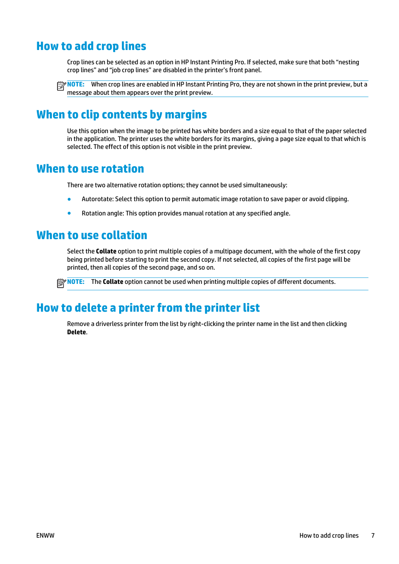#### <span id="page-10-0"></span>**How to add crop lines**

Crop lines can be selected as an option in HP Instant Printing Pro. If selected, make sure that both "nesting crop lines" and "job crop lines" are disabled in the printer's front panel.

**NOTE:** When crop lines are enabled in HP Instant Printing Pro, they are not shown in the print preview, but a message about them appears over the print preview.

#### **When to clip contents by margins**

Use this option when the image to be printed has white borders and a size equal to that of the paper selected in the application. The printer uses the white borders for its margins, giving a page size equal to that which is selected. The effect of this option is not visible in the print preview.

#### **When to use rotation**

There are two alternative rotation options; they cannot be used simultaneously:

- Autorotate: Select this option to permit automatic image rotation to save paper or avoid clipping.
- Rotation angle: This option provides manual rotation at any specified angle.

#### **When to use collation**

Select the **Collate** option to print multiple copies of a multipage document, with the whole of the first copy being printed before starting to print the second copy. If not selected, all copies of the first page will be printed, then all copies of the second page, and so on.

**NOTE:** The **Collate** option cannot be used when printing multiple copies of different documents.

#### **How to delete a printer from the printer list**

Remove a driverless printer from the list by right-clicking the printer name in the list and then clicking **Delete**.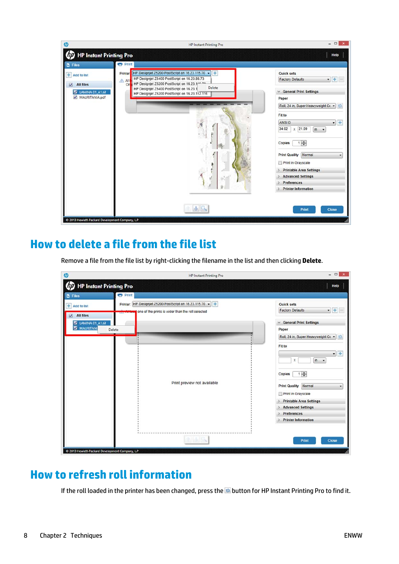<span id="page-11-0"></span>

### **How to delete a file from the file list**

Remove a file from the file list by right-clicking the filename in the list and then clicking **Delete**.

| <b>HP Instant Printing Pro</b><br><b>Print</b><br>Printer: HP Designjet Z5200 PostScript on 16.23.115.70 -<br>one of the prints is wider than the roll selected | Help<br><b>Quick sets</b><br>$\bullet$ + -<br><b>Factory Defaults</b><br><b>General Print Settings</b><br>Paper<br>Roll, 24 in, Super Heavyweight Co -<br>a<br>Fit to<br>$+$<br>$\bullet$                                   |
|-----------------------------------------------------------------------------------------------------------------------------------------------------------------|-----------------------------------------------------------------------------------------------------------------------------------------------------------------------------------------------------------------------------|
|                                                                                                                                                                 |                                                                                                                                                                                                                             |
|                                                                                                                                                                 |                                                                                                                                                                                                                             |
|                                                                                                                                                                 |                                                                                                                                                                                                                             |
|                                                                                                                                                                 |                                                                                                                                                                                                                             |
|                                                                                                                                                                 |                                                                                                                                                                                                                             |
| Print preview not available                                                                                                                                     | $\ln$ $\sim$<br>x<br>$1\frac{1}{2}$<br>Copies<br><b>Print Quality   Normal</b><br>۰<br>Print in Grayscale<br><b>Printable Area Settings</b><br><b>Advanced Settings</b><br><b>Preferences</b><br><b>Printer Information</b> |
|                                                                                                                                                                 | Print<br><b>Close</b>                                                                                                                                                                                                       |
|                                                                                                                                                                 | C 2013 Hewlett-Packard Development Company, LP                                                                                                                                                                              |

#### **How to refresh roll information**

If the roll loaded in the printer has been changed, press the **button for HP Instant Printing Pro to find it**.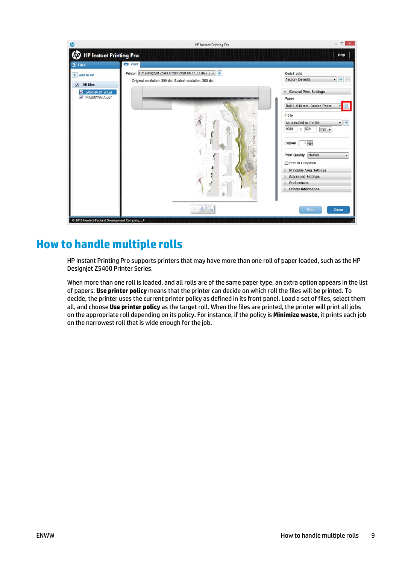<span id="page-12-0"></span>

## **How to handle multiple rolls**

HP Instant Printing Pro supports printers that may have more than one roll of paper loaded, such as the HP Designjet Z5400 Printer Series.

When more than one roll is loaded, and all rolls are of the same paper type, an extra option appears in the list of papers: **Use printer policy** means that the printer can decide on which roll the files will be printed. To decide, the printer uses the current printer policy as defined in its front panel. Load a set of files, select them all, and choose **Use printer policy** as the target roll. When the files are printed, the printer will print all jobs on the appropriate roll depending on its policy. For instance, if the policy is **Minimize waste**, it prints each job on the narrowest roll that is wide enough for the job.